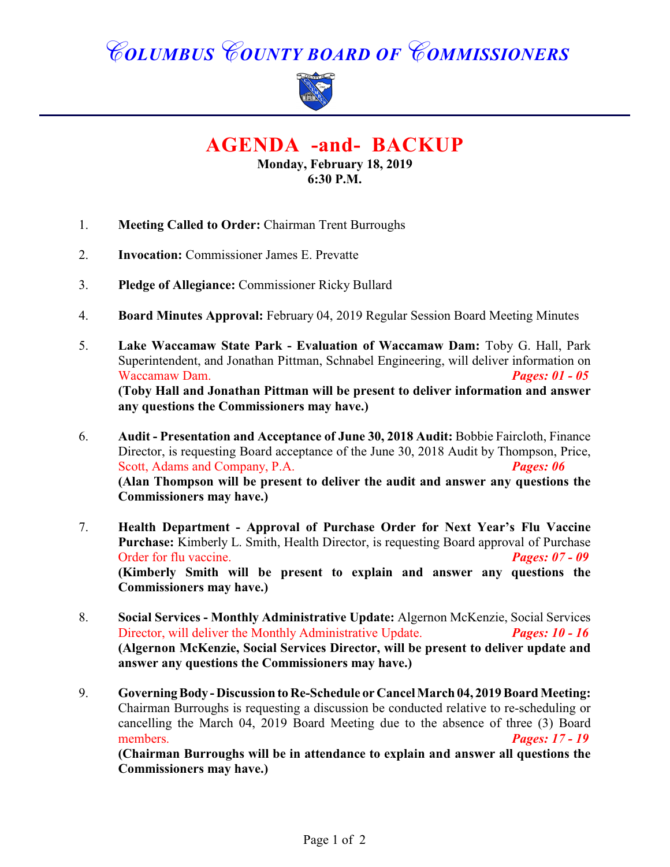# *COLUMBUS COUNTY BOARD OF COMMISSIONERS*



**AGENDA -and- BACKUP**

**Monday, February 18, 2019 6:30 P.M.**

- 1. **Meeting Called to Order:** Chairman Trent Burroughs
- 2. **Invocation:** Commissioner James E. Prevatte
- 3. **Pledge of Allegiance:** Commissioner Ricky Bullard
- 4. **Board Minutes Approval:** February 04, 2019 Regular Session Board Meeting Minutes
- 5. **Lake Waccamaw State Park Evaluation of Waccamaw Dam:** Toby G. Hall, Park Superintendent, and Jonathan Pittman, Schnabel Engineering, will deliver information on Waccamaw Dam. *Pages: 01 - 05* **(Toby Hall and Jonathan Pittman will be present to deliver information and answer any questions the Commissioners may have.)**
- 6. **Audit Presentation and Acceptance of June 30, 2018 Audit:** Bobbie Faircloth, Finance Director, is requesting Board acceptance of the June 30, 2018 Audit by Thompson, Price, Scott, Adams and Company, P.A. *Pages: 06* **(Alan Thompson will be present to deliver the audit and answer any questions the Commissioners may have.)**
- 7. **Health Department Approval of Purchase Order for Next Year's Flu Vaccine Purchase:** Kimberly L. Smith, Health Director, is requesting Board approval of Purchase<br>Order for flu vaccine.<br>**Pages:** 07 - 09 Order for flu vaccine. **(Kimberly Smith will be present to explain and answer any questions the Commissioners may have.)**
- 8. **Social Services Monthly Administrative Update:** Algernon McKenzie, Social Services Director, will deliver the Monthly Administrative Update. *Pages: 10 - 16* **(Algernon McKenzie, Social Services Director, will be present to deliver update and answer any questions the Commissioners may have.)**
- 9. **Governing Body Discussion to Re-Schedule or Cancel March 04, 2019 Board Meeting:** Chairman Burroughs is requesting a discussion be conducted relative to re-scheduling or cancelling the March 04, 2019 Board Meeting due to the absence of three (3) Board members. *Pages: 17 - 19*

**(Chairman Burroughs will be in attendance to explain and answer all questions the Commissioners may have.)**